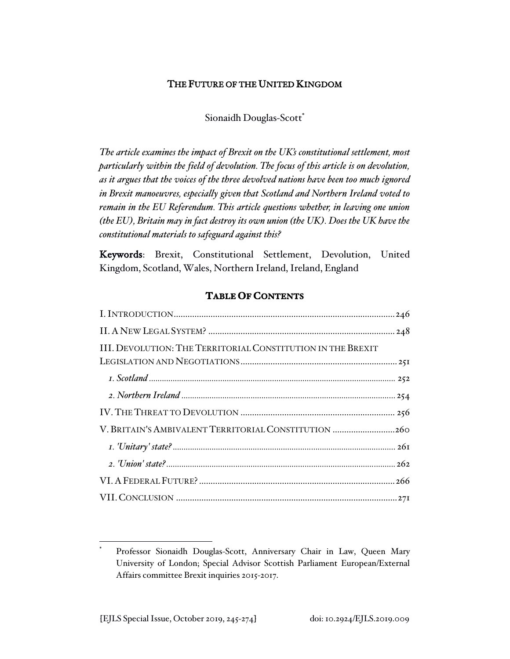## THE FUTURE OF THE UNITED KINGDOM

## Sionaidh Douglas-Scott\*

*The article examines the impact of Brexit on the UK's constitutional settlement, most particularly within the field of devolution. The focus of this article is on devolution, as it argues that the voices of the three devolved nations have been too much ignored in Brexit manoeuvres, especially given that Scotland and Northern Ireland voted to remain in the EU Referendum. This article questions whether, in leaving one union (the EU), Britain may in fact destroy its own union (the UK). Does the UK have the constitutional materials to safeguard against this?* 

Keywords: Brexit, Constitutional Settlement, Devolution, United Kingdom, Scotland, Wales, Northern Ireland, Ireland, England

# **TABLE OF CONTENTS**

| III. DEVOLUTION: THE TERRITORIAL CONSTITUTION IN THE BREXIT |
|-------------------------------------------------------------|
|                                                             |
|                                                             |
|                                                             |
| V. BRITAIN'S AMBIVALENT TERRITORIAL CONSTITUTION 260        |
|                                                             |
|                                                             |
|                                                             |
|                                                             |

Professor Sionaidh Douglas-Scott, Anniversary Chair in Law, Queen Mary University of London; Special Advisor Scottish Parliament European/External Affairs committee Brexit inquiries 2015-2017.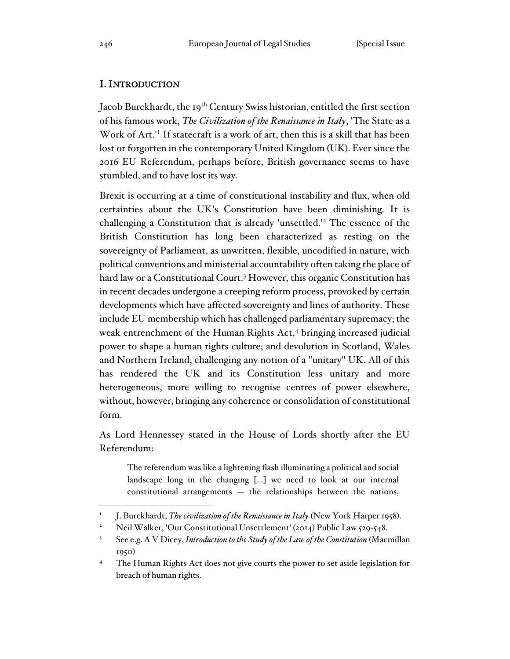## I. INTRODUCTION

Jacob Burckhardt, the 19<sup>th</sup> Century Swiss historian, entitled the first section of his famous work, *The Civilization of the Renaissance in Italy*, 'The State as a Work of Art.'<sup>1</sup> If statecraft is a work of art, then this is a skill that has been lost or forgotten in the contemporary United Kingdom (UK). Ever since the 2016 EU Referendum, perhaps before, British governance seems to have stumbled, and to have lost its way.

Brexit is occurring at a time of constitutional instability and flux, when old certainties about the UK's Constitution have been diminishing. It is challenging a Constitution that is already 'unsettled.'<sup>2</sup> The essence of the British Constitution has long been characterized as resting on the sovereignty of Parliament, as unwritten, flexible, uncodified in nature, with political conventions and ministerial accountability often taking the place of hard law or a Constitutional Court.<sup>3</sup> However, this organic Constitution has in recent decades undergone a creeping reform process, provoked by certain developments which have affected sovereignty and lines of authority. These include EU membership which has challenged parliamentary supremacy; the weak entrenchment of the Human Rights Act,<sup>4</sup> bringing increased judicial power to shape a human rights culture; and devolution in Scotland, Wales and Northern Ireland, challenging any notion of a "unitary" UK. All of this has rendered the UK and its Constitution less unitary and more heterogeneous, more willing to recognise centres of power elsewhere, without, however, bringing any coherence or consolidation of constitutional form.

As Lord Hennessey stated in the House of Lords shortly after the EU Referendum:

The referendum was like a lightening flash illuminating a political and social landscape long in the changing […] we need to look at our internal constitutional arrangements — the relationships between the nations,

<sup>1</sup> J. Burckhardt, *The civilization of the Renaissance in Italy* (New York Harper 1958).

<sup>2</sup> Neil Walker, 'Our Constitutional Unsettlement' (2014) Public Law 529-548.

<sup>3</sup> See e.g. A V Dicey, *Introduction to the Study of the Law of the Constitution* (Macmillan 1950)

<sup>&</sup>lt;sup>4</sup> The Human Rights Act does not give courts the power to set aside legislation for breach of human rights.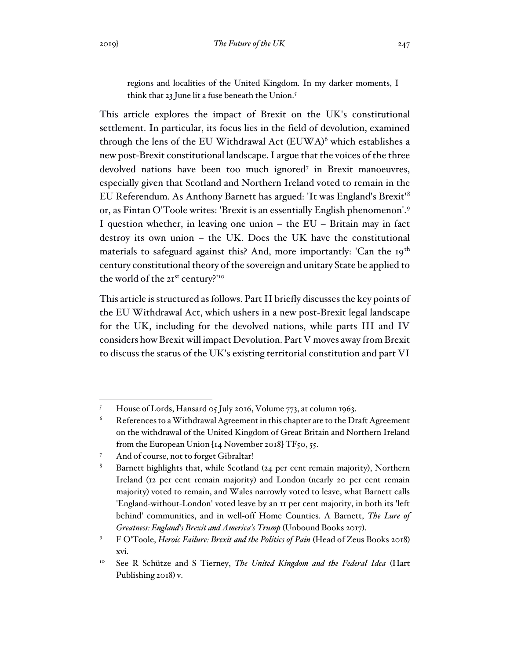regions and localities of the United Kingdom. In my darker moments, I think that 23 June lit a fuse beneath the Union.<sup>5</sup>

This article explores the impact of Brexit on the UK's constitutional settlement. In particular, its focus lies in the field of devolution, examined through the lens of the EU Withdrawal Act (EUWA)<sup>6</sup> which establishes a new post-Brexit constitutional landscape. I argue that the voices of the three devolved nations have been too much ignored<sup>7</sup> in Brexit manoeuvres, especially given that Scotland and Northern Ireland voted to remain in the EU Referendum. As Anthony Barnett has argued: 'It was England's Brexit'<sup>8</sup> or, as Fintan O'Toole writes: 'Brexit is an essentially English phenomenon'.<sup>9</sup> I question whether, in leaving one union – the EU – Britain may in fact destroy its own union – the UK. Does the UK have the constitutional materials to safeguard against this? And, more importantly: 'Can the  $19<sup>th</sup>$ century constitutional theory of the sovereign and unitary State be applied to the world of the 21st century?'<sup>10</sup>

This article is structured as follows. Part II briefly discusses the key points of the EU Withdrawal Act, which ushers in a new post-Brexit legal landscape for the UK, including for the devolved nations, while parts III and IV considers how Brexit will impact Devolution. Part V moves away from Brexit to discuss the status of the UK's existing territorial constitution and part VI

<sup>5</sup> House of Lords, Hansard 05 July 2016, Volume 773, at column 1963.

 $6$  References to a Withdrawal Agreement in this chapter are to the Draft Agreement on the withdrawal of the United Kingdom of Great Britain and Northern Ireland from the European Union  $[I_4]$  November 2018] TF50, 55.

And of course, not to forget Gibraltar!

<sup>&</sup>lt;sup>8</sup> Barnett highlights that, while Scotland (24 per cent remain majority), Northern Ireland (12 per cent remain majority) and London (nearly 20 per cent remain majority) voted to remain, and Wales narrowly voted to leave, what Barnett calls 'England-without-London' voted leave by an 11 per cent majority, in both its 'left behind' communities, and in well-off Home Counties. A Barnett, *The Lure of Greatness: England's Brexit and America's Trump* (Unbound Books 2017).

<sup>9</sup> F O'Toole, *Heroic Failure: Brexit and the Politics of Pain* (Head of Zeus Books 2018) xvi.

<sup>10</sup> See R Schütze and S Tierney, *The United Kingdom and the Federal Idea* (Hart Publishing 2018) v.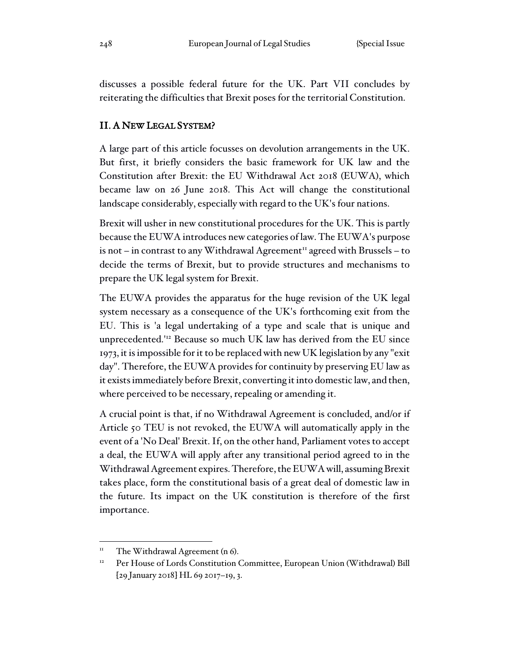discusses a possible federal future for the UK. Part VII concludes by reiterating the difficulties that Brexit poses for the territorial Constitution.

#### II. A NEW LEGAL SYSTEM?

A large part of this article focusses on devolution arrangements in the UK. But first, it briefly considers the basic framework for UK law and the Constitution after Brexit: the EU Withdrawal Act 2018 (EUWA), which became law on 26 June 2018. This Act will change the constitutional landscape considerably, especially with regard to the UK's four nations.

Brexit will usher in new constitutional procedures for the UK. This is partly because the EUWA introduces new categories of law. The EUWA's purpose is not – in contrast to any Withdrawal Agreement<sup>11</sup> agreed with Brussels – to decide the terms of Brexit, but to provide structures and mechanisms to prepare the UK legal system for Brexit.

The EUWA provides the apparatus for the huge revision of the UK legal system necessary as a consequence of the UK's forthcoming exit from the EU. This is 'a legal undertaking of a type and scale that is unique and unprecedented.'<sup>12</sup> Because so much UK law has derived from the EU since 1973, it is impossible for it to be replaced with new UK legislation by any "exit day". Therefore, the EUWA provides for continuity by preserving EU law as it exists immediately before Brexit, converting it into domestic law, and then, where perceived to be necessary, repealing or amending it.

A crucial point is that, if no Withdrawal Agreement is concluded, and/or if Article 50 TEU is not revoked, the EUWA will automatically apply in the event of a 'No Deal' Brexit. If, on the other hand, Parliament votes to accept a deal, the EUWA will apply after any transitional period agreed to in the Withdrawal Agreement expires. Therefore, the EUWA will, assuming Brexit takes place, form the constitutional basis of a great deal of domestic law in the future. Its impact on the UK constitution is therefore of the first importance.

 $\text{1}^{\text{II}}$  The Withdrawal Agreement (n 6).

<sup>&</sup>lt;sup>12</sup> Per House of Lords Constitution Committee, European Union (Withdrawal) Bill [29 January 2018] HL 69 2017–19, 3.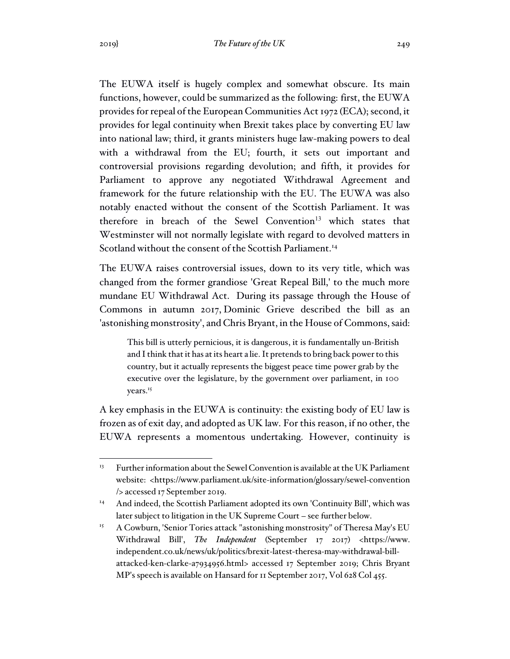The EUWA itself is hugely complex and somewhat obscure. Its main functions, however, could be summarized as the following: first, the EUWA provides for repeal of the European Communities Act 1972 (ECA); second, it provides for legal continuity when Brexit takes place by converting EU law into national law; third, it grants ministers huge law-making powers to deal with a withdrawal from the EU; fourth, it sets out important and controversial provisions regarding devolution; and fifth, it provides for Parliament to approve any negotiated Withdrawal Agreement and framework for the future relationship with the EU. The EUWA was also notably enacted without the consent of the Scottish Parliament. It was therefore in breach of the Sewel Convention<sup>13</sup> which states that Westminster will not normally legislate with regard to devolved matters in Scotland without the consent of the Scottish Parliament.<sup>14</sup>

The EUWA raises controversial issues, down to its very title, which was changed from the former grandiose 'Great Repeal Bill,' to the much more mundane EU Withdrawal Act. During its passage through the House of Commons in autumn 2017, Dominic Grieve described the bill as an 'astonishing monstrosity', and Chris Bryant, in the House of Commons, said:

This bill is utterly pernicious, it is dangerous, it is fundamentally un-British and I think that it has at its heart a lie. It pretends to bring back power to this country, but it actually represents the biggest peace time power grab by the executive over the legislature, by the government over parliament, in 100 years.<sup>15</sup>

A key emphasis in the EUWA is continuity: the existing body of EU law is frozen as of exit day, and adopted as UK law. For this reason, if no other, the EUWA represents a momentous undertaking. However, continuity is

<sup>&</sup>lt;sup>13</sup> Further information about the Sewel Convention is available at the UK Parliament website: <https://www.parliament.uk/site-information/glossary/sewel-convention /> accessed 17 September 2019.

<sup>&</sup>lt;sup>14</sup> And indeed, the Scottish Parliament adopted its own 'Continuity Bill', which was later subject to litigation in the UK Supreme Court – see further below.

<sup>&</sup>lt;sup>15</sup> A Cowburn, 'Senior Tories attack "astonishing monstrosity" of Theresa May's EU Withdrawal Bill', *The Independent* (September 17 2017) <https://www. independent.co.uk/news/uk/politics/brexit-latest-theresa-may-withdrawal-billattacked-ken-clarke-a7934956.html> accessed 17 September 2019; Chris Bryant MP's speech is available on Hansard for 11 September 2017, Vol 628 Col 455.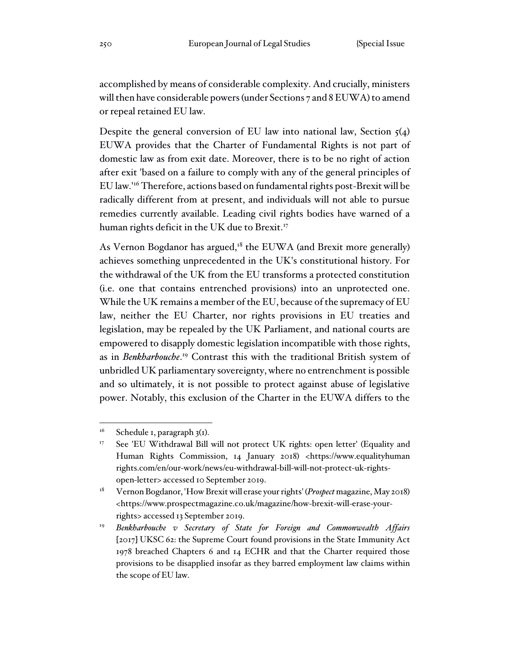accomplished by means of considerable complexity. And crucially, ministers will then have considerable powers (under Sections 7 and 8 EUWA) to amend or repeal retained EU law.

Despite the general conversion of EU law into national law, Section  $5(4)$ EUWA provides that the Charter of Fundamental Rights is not part of domestic law as from exit date. Moreover, there is to be no right of action after exit 'based on a failure to comply with any of the general principles of EU law.'<sup>16</sup> Therefore, actions based on fundamental rights post-Brexit will be radically different from at present, and individuals will not able to pursue remedies currently available. Leading civil rights bodies have warned of a human rights deficit in the UK due to Brexit.<sup>17</sup>

As Vernon Bogdanor has argued, $18$  the EUWA (and Brexit more generally) achieves something unprecedented in the UK's constitutional history. For the withdrawal of the UK from the EU transforms a protected constitution (i.e. one that contains entrenched provisions) into an unprotected one. While the UK remains a member of the EU, because of the supremacy of EU law, neither the EU Charter, nor rights provisions in EU treaties and legislation, may be repealed by the UK Parliament, and national courts are empowered to disapply domestic legislation incompatible with those rights, as in *Benkharbouche*. <sup>19</sup> Contrast this with the traditional British system of unbridled UK parliamentary sovereignty, where no entrenchment is possible and so ultimately, it is not possible to protect against abuse of legislative power. Notably, this exclusion of the Charter in the EUWA differs to the

 $16$  Schedule 1, paragraph 3(1).

<sup>&</sup>lt;sup>17</sup> See 'EU Withdrawal Bill will not protect UK rights: open letter' (Equality and Human Rights Commission, 14 January 2018) <https://www.equalityhuman rights.com/en/our-work/news/eu-withdrawal-bill-will-not-protect-uk-rightsopen-letter> accessed 10 September 2019.

<sup>18</sup> Vernon Bogdanor, 'How Brexit will erase your rights' (*Prospect* magazine, May 2018) <https://www.prospectmagazine.co.uk/magazine/how-brexit-will-erase-yourrights> accessed 13 September 2019.

<sup>&</sup>lt;sup>19</sup> Benkharbouche v Secretary of State for Foreign and Commonwealth Affairs [2017] UKSC 62: the Supreme Court found provisions in the State Immunity Act 1978 breached Chapters 6 and 14 ECHR and that the Charter required those provisions to be disapplied insofar as they barred employment law claims within the scope of EU law.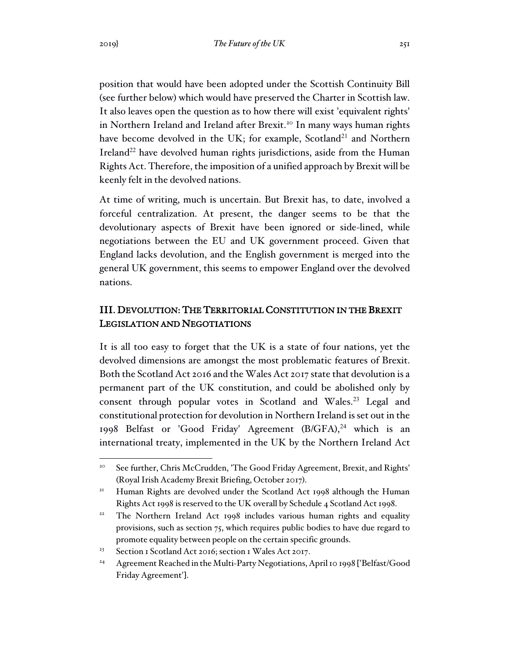position that would have been adopted under the Scottish Continuity Bill (see further below) which would have preserved the Charter in Scottish law. It also leaves open the question as to how there will exist 'equivalent rights' in Northern Ireland and Ireland after Brexit.<sup>20</sup> In many ways human rights have become devolved in the UK; for example, Scotland<sup>21</sup> and Northern Ireland<sup>22</sup> have devolved human rights jurisdictions, aside from the Human Rights Act. Therefore, the imposition of a unified approach by Brexit will be keenly felt in the devolved nations.

At time of writing, much is uncertain. But Brexit has, to date, involved a forceful centralization. At present, the danger seems to be that the devolutionary aspects of Brexit have been ignored or side-lined, while negotiations between the EU and UK government proceed. Given that England lacks devolution, and the English government is merged into the general UK government, this seems to empower England over the devolved nations.

## III. DEVOLUTION: THE TERRITORIAL CONSTITUTION IN THE BREXIT LEGISLATION AND NEGOTIATIONS

It is all too easy to forget that the UK is a state of four nations, yet the devolved dimensions are amongst the most problematic features of Brexit. Both the Scotland Act 2016 and the Wales Act 2017 state that devolution is a permanent part of the UK constitution, and could be abolished only by consent through popular votes in Scotland and Wales.<sup>23</sup> Legal and constitutional protection for devolution in Northern Ireland is set out in the 1998 Belfast or 'Good Friday' Agreement (B/GFA),<sup>24</sup> which is an international treaty, implemented in the UK by the Northern Ireland Act

<sup>&</sup>lt;sup>20</sup> See further, Chris McCrudden, 'The Good Friday Agreement, Brexit, and Rights' (Royal Irish Academy Brexit Briefing, October 2017).

<sup>&</sup>lt;sup>21</sup> Human Rights are devolved under the Scotland Act 1998 although the Human Rights Act 1998 is reserved to the UK overall by Schedule 4 Scotland Act 1998.

<sup>&</sup>lt;sup>22</sup> The Northern Ireland Act 1998 includes various human rights and equality provisions, such as section 75, which requires public bodies to have due regard to promote equality between people on the certain specific grounds.

<sup>&</sup>lt;sup>23</sup> Section 1 Scotland Act 2016; section 1 Wales Act 2017.

<sup>&</sup>lt;sup>24</sup> Agreement Reached in the Multi-Party Negotiations, April 10 1998 ['Belfast/Good Friday Agreement'].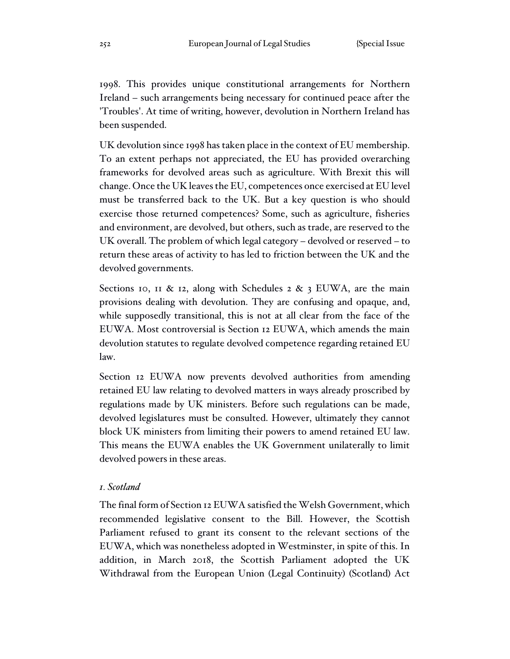1998. This provides unique constitutional arrangements for Northern Ireland – such arrangements being necessary for continued peace after the 'Troubles'. At time of writing, however, devolution in Northern Ireland has been suspended.

UK devolution since 1998 has taken place in the context of EU membership. To an extent perhaps not appreciated, the EU has provided overarching frameworks for devolved areas such as agriculture. With Brexit this will change. Once the UK leaves the EU, competences once exercised at EU level must be transferred back to the UK. But a key question is who should exercise those returned competences? Some, such as agriculture, fisheries and environment, are devolved, but others, such as trade, are reserved to the UK overall. The problem of which legal category – devolved or reserved – to return these areas of activity to has led to friction between the UK and the devolved governments.

Sections 10, 11 & 12, along with Schedules 2 & 3 EUWA, are the main provisions dealing with devolution. They are confusing and opaque, and, while supposedly transitional, this is not at all clear from the face of the EUWA. Most controversial is Section 12 EUWA, which amends the main devolution statutes to regulate devolved competence regarding retained EU law.

Section 12 EUWA now prevents devolved authorities from amending retained EU law relating to devolved matters in ways already proscribed by regulations made by UK ministers. Before such regulations can be made, devolved legislatures must be consulted. However, ultimately they cannot block UK ministers from limiting their powers to amend retained EU law. This means the EUWA enables the UK Government unilaterally to limit devolved powers in these areas.

#### *1. Scotland*

The final form of Section 12 EUWA satisfied the Welsh Government, which recommended legislative consent to the Bill. However, the Scottish Parliament refused to grant its consent to the relevant sections of the EUWA, which was nonetheless adopted in Westminster, in spite of this. In addition, in March 2018, the Scottish Parliament adopted the UK Withdrawal from the European Union (Legal Continuity) (Scotland) Act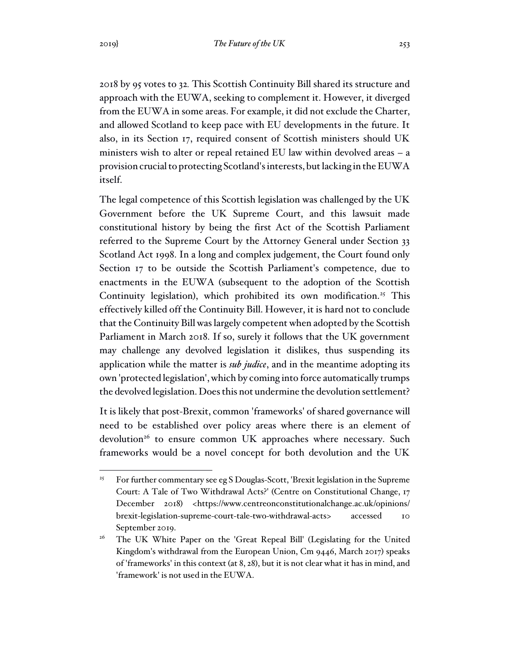2018 by 95 votes to 32*.* This Scottish Continuity Bill shared its structure and approach with the EUWA, seeking to complement it. However, it diverged from the EUWA in some areas. For example, it did not exclude the Charter, and allowed Scotland to keep pace with EU developments in the future. It also, in its Section 17, required consent of Scottish ministers should UK ministers wish to alter or repeal retained EU law within devolved areas – a provision crucial to protecting Scotland's interests, but lacking in the EUWA itself.

The legal competence of this Scottish legislation was challenged by the UK Government before the UK Supreme Court, and this lawsuit made constitutional history by being the first Act of the Scottish Parliament referred to the Supreme Court by the Attorney General under Section 33 Scotland Act 1998. In a long and complex judgement, the Court found only Section 17 to be outside the Scottish Parliament's competence, due to enactments in the EUWA (subsequent to the adoption of the Scottish Continuity legislation), which prohibited its own modification.<sup>25</sup> This effectively killed off the Continuity Bill. However, it is hard not to conclude that the Continuity Bill was largely competent when adopted by the Scottish Parliament in March 2018. If so, surely it follows that the UK government may challenge any devolved legislation it dislikes, thus suspending its application while the matter is *sub judice*, and in the meantime adopting its own 'protected legislation', which by coming into force automatically trumps the devolved legislation. Does this not undermine the devolution settlement?

It is likely that post-Brexit, common 'frameworks' of shared governance will need to be established over policy areas where there is an element of devolution<sup>26</sup> to ensure common UK approaches where necessary. Such frameworks would be a novel concept for both devolution and the UK

<sup>&</sup>lt;sup>25</sup> For further commentary see eg S Douglas-Scott, 'Brexit legislation in the Supreme Court: A Tale of Two Withdrawal Acts?' (Centre on Constitutional Change, 17 December 2018) <https://www.centreonconstitutionalchange.ac.uk/opinions/ brexit-legislation-supreme-court-tale-two-withdrawal-acts> accessed 10 September 2019.

<sup>&</sup>lt;sup>26</sup> The UK White Paper on the 'Great Repeal Bill' (Legislating for the United Kingdom's withdrawal from the European Union, Cm 9446, March 2017) speaks of 'frameworks' in this context (at 8, 28), but it is not clear what it has in mind, and 'framework' is not used in the EUWA.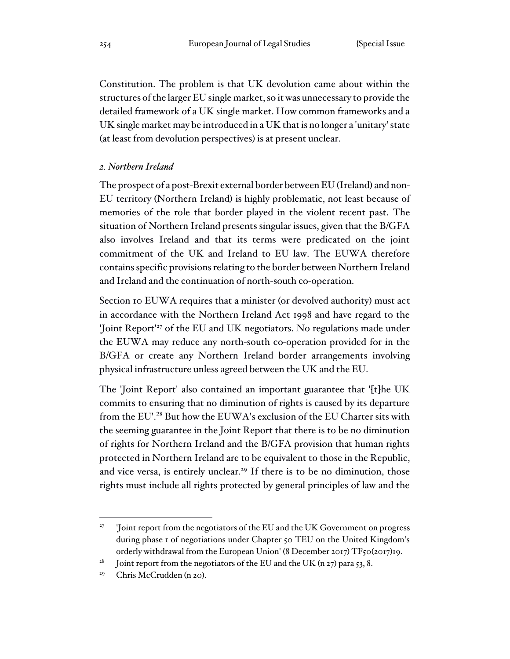Constitution. The problem is that UK devolution came about within the structures of the larger EU single market, so it was unnecessary to provide the detailed framework of a UK single market. How common frameworks and a UK single market may be introduced in a UK that is no longer a 'unitary' state (at least from devolution perspectives) is at present unclear.

### *2. Northern Ireland*

The prospect of a post-Brexit external border between EU (Ireland) and non-EU territory (Northern Ireland) is highly problematic, not least because of memories of the role that border played in the violent recent past. The situation of Northern Ireland presents singular issues, given that the B/GFA also involves Ireland and that its terms were predicated on the joint commitment of the UK and Ireland to EU law. The EUWA therefore contains specific provisions relating to the border between Northern Ireland and Ireland and the continuation of north-south co-operation.

Section 10 EUWA requires that a minister (or devolved authority) must act in accordance with the Northern Ireland Act 1998 and have regard to the 'Joint Report'<sup>27</sup> of the EU and UK negotiators. No regulations made under the EUWA may reduce any north-south co-operation provided for in the B/GFA or create any Northern Ireland border arrangements involving physical infrastructure unless agreed between the UK and the EU.

The 'Joint Report' also contained an important guarantee that '[t]he UK commits to ensuring that no diminution of rights is caused by its departure from the EU'.<sup>28</sup> But how the EUWA's exclusion of the EU Charter sits with the seeming guarantee in the Joint Report that there is to be no diminution of rights for Northern Ireland and the B/GFA provision that human rights protected in Northern Ireland are to be equivalent to those in the Republic, and vice versa, is entirely unclear.<sup>29</sup> If there is to be no diminution, those rights must include all rights protected by general principles of law and the

<sup>27</sup> 'Joint report from the negotiators of the EU and the UK Government on progress during phase 1 of negotiations under Chapter 50 TEU on the United Kingdom's orderly withdrawal from the European Union' (8 December 2017) TF50(2017)19.

<sup>&</sup>lt;sup>28</sup> Joint report from the negotiators of the EU and the UK (n 27) para 53, 8.

<sup>29</sup> Chris McCrudden (n 20).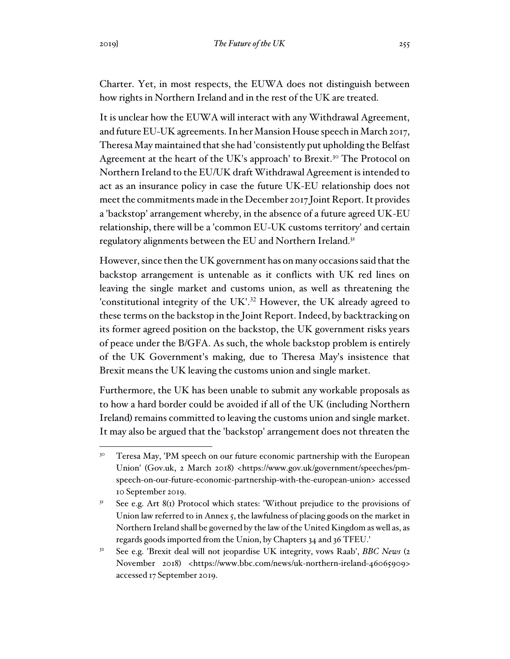Charter. Yet, in most respects, the EUWA does not distinguish between how rights in Northern Ireland and in the rest of the UK are treated.

It is unclear how the EUWA will interact with any Withdrawal Agreement, and future EU-UK agreements. In her Mansion House speech in March 2017, Theresa May maintained that she had 'consistently put upholding the Belfast Agreement at the heart of the UK's approach' to Brexit.<sup>30</sup> The Protocol on Northern Ireland to the EU/UK draft Withdrawal Agreement is intended to act as an insurance policy in case the future UK-EU relationship does not meet the commitments made in the December 2017 Joint Report. It provides a 'backstop' arrangement whereby, in the absence of a future agreed UK-EU relationship, there will be a 'common EU-UK customs territory' and certain regulatory alignments between the EU and Northern Ireland.<sup>31</sup>

However, since then the UK government has on many occasions said that the backstop arrangement is untenable as it conflicts with UK red lines on leaving the single market and customs union, as well as threatening the 'constitutional integrity of the UK'.<sup>32</sup> However, the UK already agreed to these terms on the backstop in the Joint Report. Indeed, by backtracking on its former agreed position on the backstop, the UK government risks years of peace under the B/GFA. As such, the whole backstop problem is entirely of the UK Government's making, due to Theresa May's insistence that Brexit means the UK leaving the customs union and single market.

Furthermore, the UK has been unable to submit any workable proposals as to how a hard border could be avoided if all of the UK (including Northern Ireland) remains committed to leaving the customs union and single market. It may also be argued that the 'backstop' arrangement does not threaten the

<sup>&</sup>lt;sup>30</sup> Teresa May, 'PM speech on our future economic partnership with the European Union' (Gov.uk, 2 March 2018) <https://www.gov.uk/government/speeches/pmspeech-on-our-future-economic-partnership-with-the-european-union> accessed 10 September 2019.

 $3<sup>1</sup>$  See e.g. Art 8(1) Protocol which states: 'Without prejudice to the provisions of Union law referred to in Annex 5, the lawfulness of placing goods on the market in Northern Ireland shall be governed by the law of the United Kingdom as well as, as regards goods imported from the Union, by Chapters 34 and 36 TFEU.'

<sup>32</sup> See e.g. 'Brexit deal will not jeopardise UK integrity, vows Raab', *BBC News* (2 November 2018) <https://www.bbc.com/news/uk-northern-ireland-46065909> accessed 17 September 2019.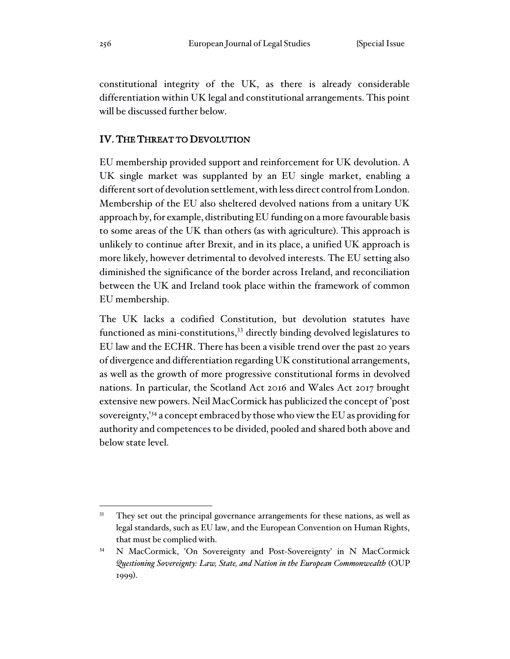constitutional integrity of the UK, as there is already considerable differentiation within UK legal and constitutional arrangements. This point will be discussed further below.

### IV. THE THREAT TO DEVOLUTION

EU membership provided support and reinforcement for UK devolution. A UK single market was supplanted by an EU single market, enabling a different sort of devolution settlement, with less direct control from London. Membership of the EU also sheltered devolved nations from a unitary UK approach by, for example, distributing EU funding on a more favourable basis to some areas of the UK than others (as with agriculture). This approach is unlikely to continue after Brexit, and in its place, a unified UK approach is more likely, however detrimental to devolved interests. The EU setting also diminished the significance of the border across Ireland, and reconciliation between the UK and Ireland took place within the framework of common EU membership.

The UK lacks a codified Constitution, but devolution statutes have functioned as mini-constitutions, <sup>33</sup> directly binding devolved legislatures to EU law and the ECHR. There has been a visible trend over the past 20 years of divergence and differentiation regarding UK constitutional arrangements, as well as the growth of more progressive constitutional forms in devolved nations. In particular, the Scotland Act 2016 and Wales Act 2017 brought extensive new powers. Neil MacCormick has publicized the concept of 'post sovereignty,'<sup>34</sup> a concept embraced by those who view the EU as providing for authority and competences to be divided, pooled and shared both above and below state level.

<sup>33</sup> They set out the principal governance arrangements for these nations, as well as legal standards, such as EU law, and the European Convention on Human Rights, that must be complied with.

<sup>34</sup> N MacCormick, 'On Sovereignty and Post-Sovereignty' in N MacCormick *Questioning Sovereignty: Law, State, and Nation in the European Commonwealth* (OUP 1999).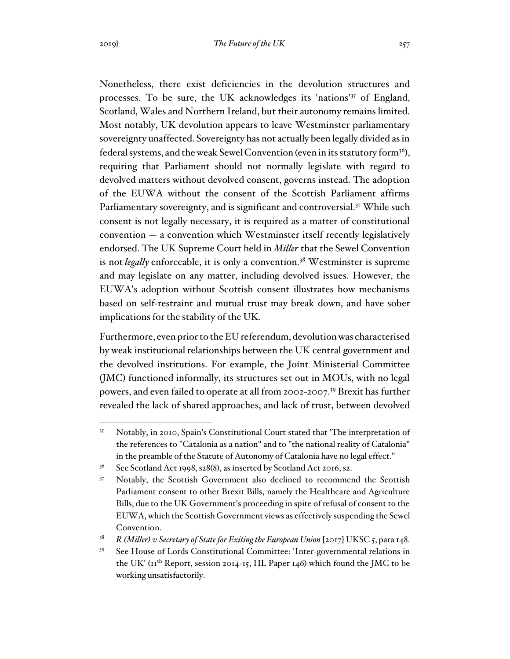Nonetheless, there exist deficiencies in the devolution structures and processes. To be sure, the UK acknowledges its 'nations'<sup>35</sup> of England, Scotland, Wales and Northern Ireland, but their autonomy remains limited. Most notably, UK devolution appears to leave Westminster parliamentary sovereignty unaffected. Sovereignty has not actually been legally divided as in federal systems, and the weak Sewel Convention (even in its statutory form<sup>36</sup>), requiring that Parliament should not normally legislate with regard to devolved matters without devolved consent, governs instead. The adoption of the EUWA without the consent of the Scottish Parliament affirms Parliamentary sovereignty, and is significant and controversial.<sup>37</sup> While such consent is not legally necessary, it is required as a matter of constitutional convention — a convention which Westminster itself recently legislatively endorsed. The UK Supreme Court held in *Miller* that the Sewel Convention is not *legally* enforceable, it is only a convention.<sup>38</sup> Westminster is supreme and may legislate on any matter, including devolved issues. However, the EUWA's adoption without Scottish consent illustrates how mechanisms based on self-restraint and mutual trust may break down, and have sober implications for the stability of the UK.

Furthermore, even prior to the EU referendum, devolution was characterised by weak institutional relationships between the UK central government and the devolved institutions. For example, the Joint Ministerial Committee (JMC) functioned informally, its structures set out in MOUs, with no legal powers, and even failed to operate at all from 2002-2007.<sup>39</sup> Brexit has further revealed the lack of shared approaches, and lack of trust, between devolved

<sup>35</sup> Notably, in 2010, Spain's Constitutional Court stated that 'The interpretation of the references to "Catalonia as a nation" and to "the national reality of Catalonia" in the preamble of the Statute of Autonomy of Catalonia have no legal effect."

<sup>&</sup>lt;sup>36</sup> See Scotland Act 1998, s28(8), as inserted by Scotland Act 2016, s2.

<sup>&</sup>lt;sup>37</sup> Notably, the Scottish Government also declined to recommend the Scottish Parliament consent to other Brexit Bills, namely the Healthcare and Agriculture Bills, due to the UK Government's proceeding in spite of refusal of consent to the EUWA, which the Scottish Government views as effectively suspending the Sewel Convention.

<sup>38</sup> *R (Miller) v Secretary of State for Exiting the European Union* [2017] UKSC 5, para 148.

<sup>39</sup> See House of Lords Constitutional Committee: 'Inter-governmental relations in the UK' ( $\text{tr}^{\text{th}}$  Report, session 2014-15, HL Paper 146) which found the JMC to be working unsatisfactorily.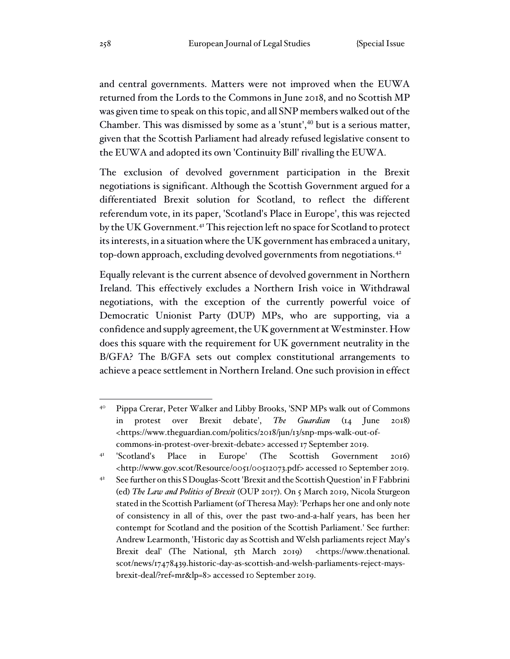and central governments. Matters were not improved when the EUWA returned from the Lords to the Commons in June 2018, and no Scottish MP was given time to speak on this topic, and all SNP members walked out of the Chamber. This was dismissed by some as a 'stunt', $40$  but is a serious matter, given that the Scottish Parliament had already refused legislative consent to the EUWA and adopted its own 'Continuity Bill' rivalling the EUWA.

The exclusion of devolved government participation in the Brexit negotiations is significant. Although the Scottish Government argued for a differentiated Brexit solution for Scotland, to reflect the different referendum vote, in its paper, 'Scotland's Place in Europe', this was rejected by the UK Government.<sup>41</sup> This rejection left no space for Scotland to protect its interests, in a situation where the UK government has embraced a unitary, top-down approach, excluding devolved governments from negotiations.<sup>42</sup>

Equally relevant is the current absence of devolved government in Northern Ireland. This effectively excludes a Northern Irish voice in Withdrawal negotiations, with the exception of the currently powerful voice of Democratic Unionist Party (DUP) MPs, who are supporting, via a confidence and supply agreement, the UK government at Westminster. How does this square with the requirement for UK government neutrality in the B/GFA? The B/GFA sets out complex constitutional arrangements to achieve a peace settlement in Northern Ireland. One such provision in effect

<sup>40</sup> Pippa Crerar, Peter Walker and Libby Brooks, 'SNP MPs walk out of Commons in protest over Brexit debate', *The Guardian* (14 June 2018) <https://www.theguardian.com/politics/2018/jun/13/snp-mps-walk-out-ofcommons-in-protest-over-brexit-debate> accessed 17 September 2019.

<sup>41</sup> 'Scotland's Place in Europe' (The Scottish Government 2016) <http://www.gov.scot/Resource/0051/00512073.pdf> accessed 10 September 2019.

<sup>&</sup>lt;sup>42</sup> See further on this S Douglas-Scott 'Brexit and the Scottish Question' in F Fabbrini (ed) *The Law and Politics of Brexit* (OUP 2017). On 5 March 2019, Nicola Sturgeon stated in the Scottish Parliament (of Theresa May): 'Perhaps her one and only note of consistency in all of this, over the past two-and-a-half years, has been her contempt for Scotland and the position of the Scottish Parliament.' See further: Andrew Learmonth, 'Historic day as Scottish and Welsh parliaments reject May's Brexit deal' (The National, 5th March 2019) <https://www.thenational. scot/news/17478439.historic-day-as-scottish-and-welsh-parliaments-reject-maysbrexit-deal/?ref=mr&lp=8> accessed 10 September 2019.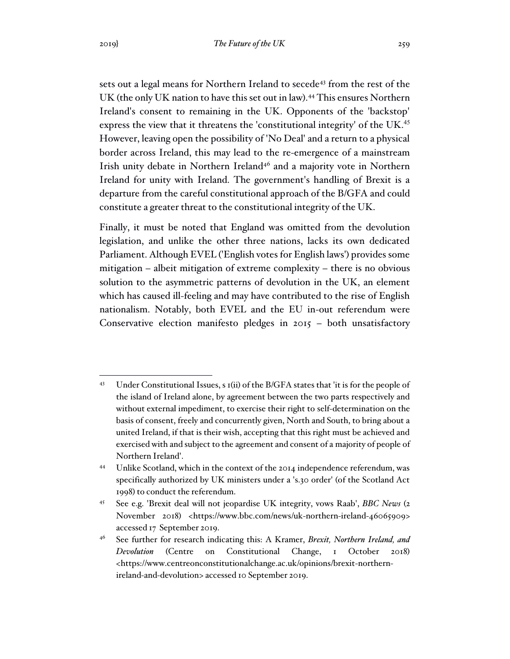sets out a legal means for Northern Ireland to secede<sup>43</sup> from the rest of the UK (the only UK nation to have this set out in law).<sup>44</sup> This ensures Northern Ireland's consent to remaining in the UK. Opponents of the 'backstop' express the view that it threatens the 'constitutional integrity' of the UK.<sup>45</sup> However, leaving open the possibility of 'No Deal' and a return to a physical border across Ireland, this may lead to the re-emergence of a mainstream Irish unity debate in Northern Ireland<sup>46</sup> and a majority vote in Northern Ireland for unity with Ireland. The government's handling of Brexit is a departure from the careful constitutional approach of the B/GFA and could constitute a greater threat to the constitutional integrity of the UK.

Finally, it must be noted that England was omitted from the devolution legislation, and unlike the other three nations, lacks its own dedicated Parliament. Although EVEL ('English votes for English laws') provides some mitigation – albeit mitigation of extreme complexity – there is no obvious solution to the asymmetric patterns of devolution in the UK, an element which has caused ill-feeling and may have contributed to the rise of English nationalism. Notably, both EVEL and the EU in-out referendum were Conservative election manifesto pledges in 2015 – both unsatisfactory

<sup>43</sup> Under Constitutional Issues, s 1(ii) of the B/GFA states that 'it is for the people of the island of Ireland alone, by agreement between the two parts respectively and without external impediment, to exercise their right to self-determination on the basis of consent, freely and concurrently given, North and South, to bring about a united Ireland, if that is their wish, accepting that this right must be achieved and exercised with and subject to the agreement and consent of a majority of people of Northern Ireland'.

<sup>44</sup> Unlike Scotland, which in the context of the 2014 independence referendum, was specifically authorized by UK ministers under a 's.30 order' (of the Scotland Act 1998) to conduct the referendum.

<sup>45</sup> See e.g. 'Brexit deal will not jeopardise UK integrity, vows Raab', *BBC News* (2 November 2018) <https://www.bbc.com/news/uk-northern-ireland-46065909> accessed 17 September 2019.

<sup>46</sup> See further for research indicating this: A Kramer, *Brexit, Northern Ireland, and Devolution* (Centre on Constitutional Change, 1 October 2018) <https://www.centreonconstitutionalchange.ac.uk/opinions/brexit-northernireland-and-devolution> accessed 10 September 2019.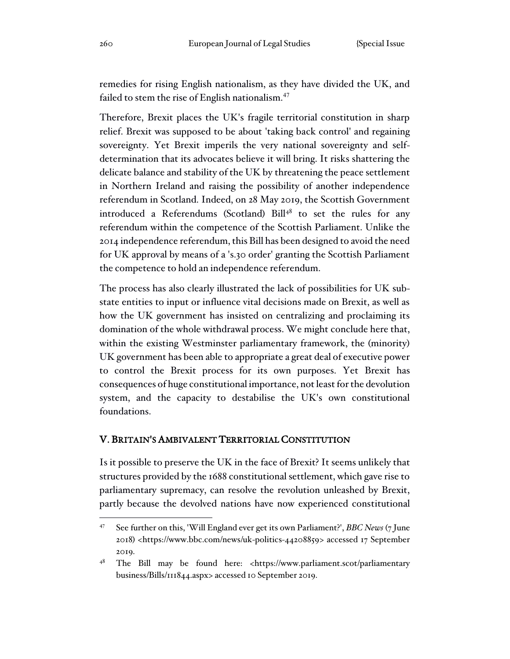remedies for rising English nationalism, as they have divided the UK, and failed to stem the rise of English nationalism.<sup>47</sup>

Therefore, Brexit places the UK's fragile territorial constitution in sharp relief. Brexit was supposed to be about 'taking back control' and regaining sovereignty. Yet Brexit imperils the very national sovereignty and selfdetermination that its advocates believe it will bring. It risks shattering the delicate balance and stability of the UK by threatening the peace settlement in Northern Ireland and raising the possibility of another independence referendum in Scotland. Indeed, on 28 May 2019, the Scottish Government introduced a Referendums (Scotland) Bill<sup>48</sup> to set the rules for any referendum within the competence of the Scottish Parliament. Unlike the 2014 independence referendum, this Bill has been designed to avoid the need for UK approval by means of a 's.30 order' granting the Scottish Parliament the competence to hold an independence referendum.

The process has also clearly illustrated the lack of possibilities for UK substate entities to input or influence vital decisions made on Brexit, as well as how the UK government has insisted on centralizing and proclaiming its domination of the whole withdrawal process. We might conclude here that, within the existing Westminster parliamentary framework, the (minority) UK government has been able to appropriate a great deal of executive power to control the Brexit process for its own purposes. Yet Brexit has consequences of huge constitutional importance, not least for the devolution system, and the capacity to destabilise the UK's own constitutional foundations.

### V. BRITAIN'S AMBIVALENT TERRITORIAL CONSTITUTION

Is it possible to preserve the UK in the face of Brexit? It seems unlikely that structures provided by the 1688 constitutional settlement, which gave rise to parliamentary supremacy, can resolve the revolution unleashed by Brexit, partly because the devolved nations have now experienced constitutional

<sup>47</sup> See further on this, 'Will England ever get its own Parliament?', *BBC News* (7 June 2018) <https://www.bbc.com/news/uk-politics-44208859> accessed 17 September 2019.

<sup>48</sup> The Bill may be found here: <https://www.parliament.scot/parliamentary business/Bills/111844.aspx> accessed 10 September 2019.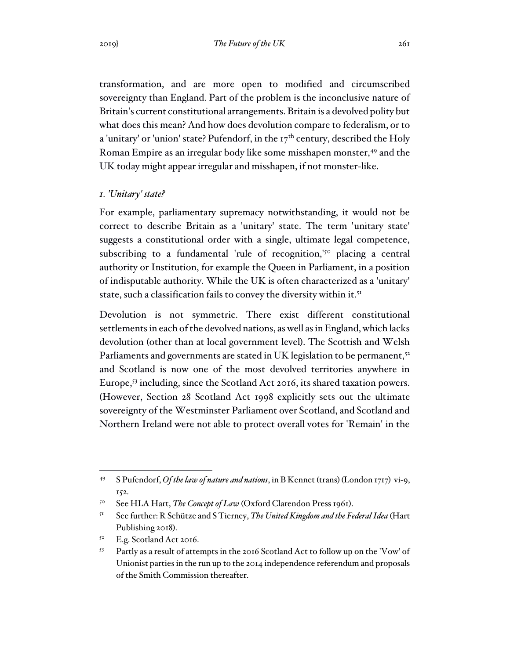transformation, and are more open to modified and circumscribed sovereignty than England. Part of the problem is the inconclusive nature of Britain's current constitutional arrangements. Britain is a devolved polity but what does this mean? And how does devolution compare to federalism, or to a 'unitary' or 'union' state? Pufendorf, in the  $17<sup>th</sup>$  century, described the Holy Roman Empire as an irregular body like some misshapen monster,<sup>49</sup> and the UK today might appear irregular and misshapen, if not monster-like.

#### *1. 'Unitary' state?*

For example, parliamentary supremacy notwithstanding, it would not be correct to describe Britain as a 'unitary' state. The term 'unitary state' suggests a constitutional order with a single, ultimate legal competence, subscribing to a fundamental 'rule of recognition,<sup>'50</sup> placing a central authority or Institution, for example the Queen in Parliament, in a position of indisputable authority. While the UK is often characterized as a 'unitary' state, such a classification fails to convey the diversity within it.<sup>51</sup>

Devolution is not symmetric. There exist different constitutional settlements in each of the devolved nations, as well as in England, which lacks devolution (other than at local government level). The Scottish and Welsh Parliaments and governments are stated in UK legislation to be permanent,<sup>52</sup> and Scotland is now one of the most devolved territories anywhere in Europe,<sup>53</sup> including, since the Scotland Act 2016, its shared taxation powers. (However, Section 28 Scotland Act 1998 explicitly sets out the ultimate sovereignty of the Westminster Parliament over Scotland, and Scotland and Northern Ireland were not able to protect overall votes for 'Remain' in the

<sup>49</sup> S Pufendorf, *Of the law of nature and nations*, in B Kennet (trans) (London 1717) vi-9, 152.

<sup>50</sup> See HLA Hart, *The Concept of Law* (Oxford Clarendon Press 1961).

<sup>51</sup> See further: R Schütze and S Tierney, *The United Kingdom and the Federal Idea* (Hart Publishing 2018).

<sup>52</sup> E.g. Scotland Act 2016.

<sup>53</sup> Partly as a result of attempts in the 2016 Scotland Act to follow up on the 'Vow' of Unionist parties in the run up to the 2014 independence referendum and proposals of the Smith Commission thereafter.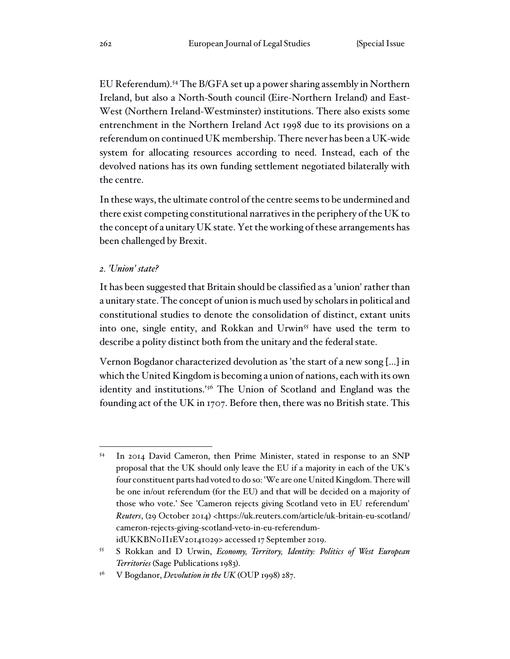EU Referendum).<sup>54</sup> The B/GFA set up a power sharing assembly in Northern Ireland, but also a North-South council (Eire-Northern Ireland) and East-West (Northern Ireland-Westminster) institutions. There also exists some entrenchment in the Northern Ireland Act 1998 due to its provisions on a referendum on continued UK membership. There never has been a UK-wide system for allocating resources according to need. Instead, each of the devolved nations has its own funding settlement negotiated bilaterally with the centre.

In these ways, the ultimate control of the centre seems to be undermined and there exist competing constitutional narratives in the periphery of the UK to the concept of a unitary UK state. Yet the working of these arrangements has been challenged by Brexit.

#### *2. 'Union' state?*

It has been suggested that Britain should be classified as a 'union' rather than a unitary state. The concept of union is much used by scholars in political and constitutional studies to denote the consolidation of distinct, extant units into one, single entity, and Rokkan and Urwin<sup>55</sup> have used the term to describe a polity distinct both from the unitary and the federal state.

Vernon Bogdanor characterized devolution as 'the start of a new song […] in which the United Kingdom is becoming a union of nations, each with its own identity and institutions.'<sup>56</sup> The Union of Scotland and England was the founding act of the UK in 1707. Before then, there was no British state. This

idUKKBN0II1EV20141029> accessed 17 September 2019.

<sup>54</sup> In 2014 David Cameron, then Prime Minister, stated in response to an SNP proposal that the UK should only leave the EU if a majority in each of the UK's four constituent parts had voted to do so: 'We are one United Kingdom. There will be one in/out referendum (for the EU) and that will be decided on a majority of those who vote.' See 'Cameron rejects giving Scotland veto in EU referendum' *Reuters*, (29 October 2014) <https://uk.reuters.com/article/uk-britain-eu-scotland/ cameron-rejects-giving-scotland-veto-in-eu-referendum-

<sup>55</sup> S Rokkan and D Urwin, *Economy, Territory, Identity: Politics of West European Territories* (Sage Publications 1983).

<sup>56</sup> V Bogdanor, *Devolution in the UK* (OUP 1998) 287.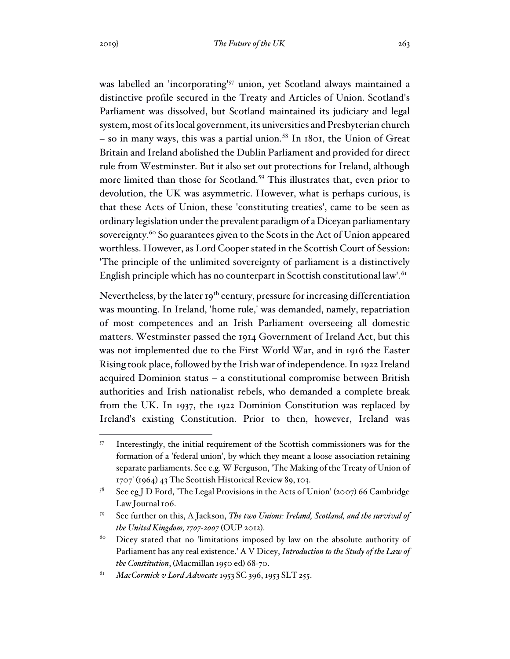was labelled an 'incorporating'<sup>57</sup> union, yet Scotland always maintained a distinctive profile secured in the Treaty and Articles of Union. Scotland's Parliament was dissolved, but Scotland maintained its judiciary and legal system, most of its local government, its universities and Presbyterian church  $-$  so in many ways, this was a partial union.<sup>58</sup> In 1801, the Union of Great Britain and Ireland abolished the Dublin Parliament and provided for direct rule from Westminster. But it also set out protections for Ireland, although more limited than those for Scotland.<sup>59</sup> This illustrates that, even prior to devolution, the UK was asymmetric. However, what is perhaps curious, is that these Acts of Union, these 'constituting treaties', came to be seen as ordinary legislation under the prevalent paradigm of a Diceyan parliamentary sovereignty.<sup>60</sup> So guarantees given to the Scots in the Act of Union appeared worthless. However, as Lord Cooper stated in the Scottish Court of Session: 'The principle of the unlimited sovereignty of parliament is a distinctively English principle which has no counterpart in Scottish constitutional law'.<sup>61</sup>

Nevertheless, by the later  $I_9$ <sup>th</sup> century, pressure for increasing differentiation was mounting. In Ireland, 'home rule,' was demanded, namely, repatriation of most competences and an Irish Parliament overseeing all domestic matters. Westminster passed the 1914 Government of Ireland Act, but this was not implemented due to the First World War, and in 1916 the Easter Rising took place, followed by the Irish war of independence. In 1922 Ireland acquired Dominion status – a constitutional compromise between British authorities and Irish nationalist rebels, who demanded a complete break from the UK. In 1937, the 1922 Dominion Constitution was replaced by Ireland's existing Constitution. Prior to then, however, Ireland was

<sup>57</sup> Interestingly, the initial requirement of the Scottish commissioners was for the formation of a 'federal union', by which they meant a loose association retaining separate parliaments. See e.g. W Ferguson, 'The Making of the Treaty of Union of 1707' (1964) 43 The Scottish Historical Review 89, 103.

<sup>&</sup>lt;sup>58</sup> See eg J D Ford, 'The Legal Provisions in the Acts of Union' (2007) 66 Cambridge Law Journal 106.

<sup>59</sup> See further on this, A Jackson, *The two Unions: Ireland, Scotland, and the survival of the United Kingdom, 1707-2007* (OUP 2012).

<sup>&</sup>lt;sup>60</sup> Dicey stated that no 'limitations imposed by law on the absolute authority of Parliament has any real existence.' A V Dicey, *Introduction to the Study of the Law of the Constitution*, (Macmillan 1950 ed) 68-70.

<sup>61</sup> *MacCormick v Lord Advocate* 1953 SC 396, 1953 SLT 255.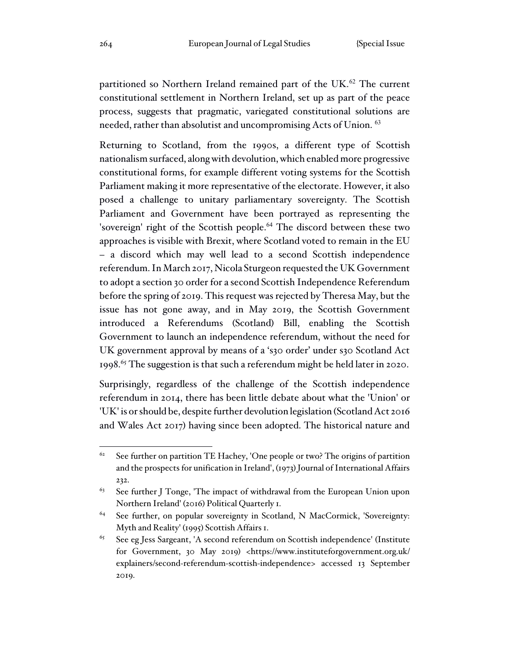partitioned so Northern Ireland remained part of the UK.<sup>62</sup> The current constitutional settlement in Northern Ireland, set up as part of the peace process, suggests that pragmatic, variegated constitutional solutions are needed, rather than absolutist and uncompromising Acts of Union. <sup>63</sup>

Returning to Scotland, from the 1990s, a different type of Scottish nationalism surfaced, along with devolution, which enabled more progressive constitutional forms, for example different voting systems for the Scottish Parliament making it more representative of the electorate. However, it also posed a challenge to unitary parliamentary sovereignty. The Scottish Parliament and Government have been portrayed as representing the 'sovereign' right of the Scottish people.<sup>64</sup> The discord between these two approaches is visible with Brexit, where Scotland voted to remain in the EU – a discord which may well lead to a second Scottish independence referendum. In March 2017, Nicola Sturgeon requested the UK Government to adopt a section 30 order for a second Scottish Independence Referendum before the spring of 2019. This request was rejected by Theresa May, but the issue has not gone away, and in May 2019, the Scottish Government introduced a Referendums (Scotland) Bill, enabling the Scottish Government to launch an independence referendum, without the need for UK government approval by means of a 's30 order' under s30 Scotland Act 1998.<sup>65</sup> The suggestion is that such a referendum might be held later in 2020.

Surprisingly, regardless of the challenge of the Scottish independence referendum in 2014, there has been little debate about what the 'Union' or 'UK' is or should be, despite further devolution legislation (Scotland Act 2016 and Wales Act 2017) having since been adopted. The historical nature and

 $62$  See further on partition TE Hachey, 'One people or two? The origins of partition and the prospects for unification in Ireland', (1973) Journal of International Affairs 232.

 $63$  See further J Tonge, 'The impact of withdrawal from the European Union upon Northern Ireland' (2016) Political Quarterly 1.

<sup>&</sup>lt;sup>64</sup> See further, on popular sovereignty in Scotland, N MacCormick, 'Sovereignty: Myth and Reality' (1995) Scottish Affairs 1.

<sup>65</sup> See eg Jess Sargeant, 'A second referendum on Scottish independence' (Institute for Government, 30 May 2019) <https://www.instituteforgovernment.org.uk/ explainers/second-referendum-scottish-independence> accessed 13 September 2019.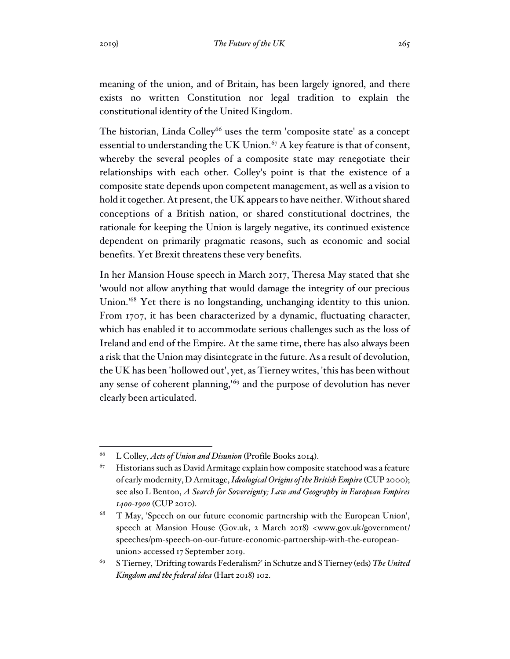meaning of the union, and of Britain, has been largely ignored, and there exists no written Constitution nor legal tradition to explain the constitutional identity of the United Kingdom.

The historian, Linda Colley<sup>66</sup> uses the term 'composite state' as a concept essential to understanding the UK Union.<sup>67</sup> A key feature is that of consent, whereby the several peoples of a composite state may renegotiate their relationships with each other. Colley's point is that the existence of a composite state depends upon competent management, as well as a vision to hold it together. At present, the UK appears to have neither. Without shared conceptions of a British nation, or shared constitutional doctrines, the rationale for keeping the Union is largely negative, its continued existence dependent on primarily pragmatic reasons, such as economic and social benefits. Yet Brexit threatens these very benefits.

In her Mansion House speech in March 2017, Theresa May stated that she 'would not allow anything that would damage the integrity of our precious Union.'<sup>68</sup> Yet there is no longstanding, unchanging identity to this union. From 1707, it has been characterized by a dynamic, fluctuating character, which has enabled it to accommodate serious challenges such as the loss of Ireland and end of the Empire. At the same time, there has also always been a risk that the Union may disintegrate in the future. As a result of devolution, the UK has been 'hollowed out', yet, as Tierney writes, 'this has been without any sense of coherent planning,'<sup>69</sup> and the purpose of devolution has never clearly been articulated.

<sup>66</sup> L Colley, *Acts of Union and Disunion* (Profile Books 2014).

 $67$  Historians such as David Armitage explain how composite statehood was a feature of early modernity, D Armitage, *Ideological Origins of the British Empire*(CUP 2000); see also L Benton, *A Search for Sovereignty; Law and Geography in European Empires 1400-1900* (CUP 2010).

<sup>68</sup> T May, 'Speech on our future economic partnership with the European Union', speech at Mansion House (Gov.uk, 2 March 2018) <www.gov.uk/government/ speeches/pm-speech-on-our-future-economic-partnership-with-the-europeanunion> accessed 17 September 2019.

<sup>69</sup> S Tierney, 'Drifting towards Federalism?' in Schutze and S Tierney (eds) *The United Kingdom and the federal idea* (Hart 2018) 102.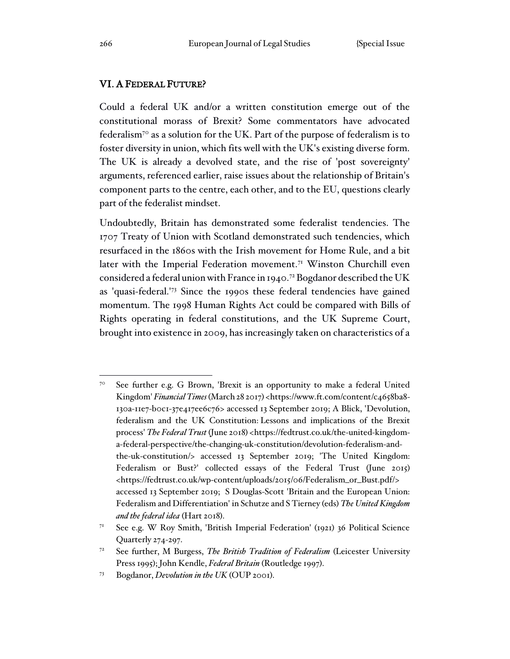### VI. A FEDERAL FUTURE?

Could a federal UK and/or a written constitution emerge out of the constitutional morass of Brexit? Some commentators have advocated federalism<sup>70</sup> as a solution for the UK. Part of the purpose of federalism is to foster diversity in union, which fits well with the UK's existing diverse form. The UK is already a devolved state, and the rise of 'post sovereignty' arguments, referenced earlier, raise issues about the relationship of Britain's component parts to the centre, each other, and to the EU, questions clearly part of the federalist mindset.

Undoubtedly, Britain has demonstrated some federalist tendencies. The 1707 Treaty of Union with Scotland demonstrated such tendencies, which resurfaced in the 1860s with the Irish movement for Home Rule, and a bit later with the Imperial Federation movement.<sup>71</sup> Winston Churchill even considered a federal union with France in 1940.<sup>72</sup> Bogdanor described the UK as 'quasi-federal.'<sup>73</sup> Since the 1990s these federal tendencies have gained momentum. The 1998 Human Rights Act could be compared with Bills of Rights operating in federal constitutions, and the UK Supreme Court, brought into existence in 2009, has increasingly taken on characteristics of a

<sup>70</sup> See further e.g. G Brown, 'Brexit is an opportunity to make a federal United Kingdom' *Financial Times* (March 28 2017) <https://www.ft.com/content/c4658ba8- 130a-11e7-b0c1-37e417ee6c76> accessed 13 September 2019; A Blick, 'Devolution, federalism and the UK Constitution: Lessons and implications of the Brexit process' *The Federal Trust* (June 2018) <https://fedtrust.co.uk/the-united-kingdoma-federal-perspective/the-changing-uk-constitution/devolution-federalism-andthe-uk-constitution/> accessed 13 September 2019; 'The United Kingdom: Federalism or Bust?' collected essays of the Federal Trust (June 2015) <https://fedtrust.co.uk/wp-content/uploads/2015/06/Federalism\_or\_Bust.pdf/> accessed 13 September 2019; S Douglas-Scott 'Britain and the European Union: Federalism and Differentiation' in Schutze and S Tierney (eds) *The United Kingdom and the federal idea* (Hart 2018).

<sup>71</sup> See e.g. W Roy Smith, 'British Imperial Federation' (1921) 36 Political Science Quarterly 274-297.

<sup>72</sup> See further, M Burgess, *The British Tradition of Federalism* (Leicester University Press 1995); John Kendle, *Federal Britain* (Routledge 1997).

<sup>73</sup> Bogdanor, *Devolution in the UK* (OUP 2001).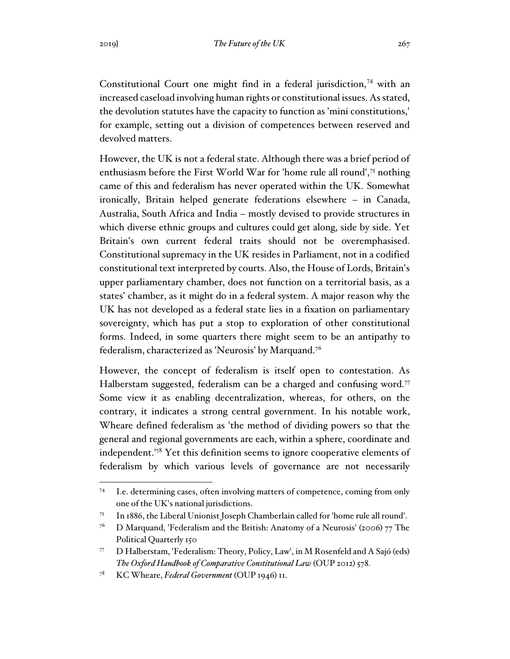Constitutional Court one might find in a federal jurisdiction,<sup>74</sup> with an increased caseload involving human rights or constitutional issues. As stated, the devolution statutes have the capacity to function as 'mini constitutions,' for example, setting out a division of competences between reserved and devolved matters.

However, the UK is not a federal state. Although there was a brief period of enthusiasm before the First World War for 'home rule all round',<sup>75</sup> nothing came of this and federalism has never operated within the UK. Somewhat ironically, Britain helped generate federations elsewhere – in Canada, Australia, South Africa and India – mostly devised to provide structures in which diverse ethnic groups and cultures could get along, side by side. Yet Britain's own current federal traits should not be overemphasised. Constitutional supremacy in the UK resides in Parliament, not in a codified constitutional text interpreted by courts. Also, the House of Lords, Britain's upper parliamentary chamber, does not function on a territorial basis, as a states' chamber, as it might do in a federal system. A major reason why the UK has not developed as a federal state lies in a fixation on parliamentary sovereignty, which has put a stop to exploration of other constitutional forms. Indeed, in some quarters there might seem to be an antipathy to federalism, characterized as 'Neurosis' by Marquand.<sup>76</sup>

However, the concept of federalism is itself open to contestation. As Halberstam suggested, federalism can be a charged and confusing word.<sup>77</sup> Some view it as enabling decentralization, whereas, for others, on the contrary, it indicates a strong central government. In his notable work, Wheare defined federalism as 'the method of dividing powers so that the general and regional governments are each, within a sphere, coordinate and independent.'<sup>78</sup> Yet this definition seems to ignore cooperative elements of federalism by which various levels of governance are not necessarily

<sup>74</sup> I.e. determining cases, often involving matters of competence, coming from only one of the UK's national jurisdictions.

<sup>75</sup> In 1886, the Liberal Unionist Joseph Chamberlain called for 'home rule all round'.

<sup>&</sup>lt;sup>76</sup> D Marquand, 'Federalism and the British: Anatomy of a Neurosis' (2006) 77 The Political Quarterly 150

<sup>77</sup> D Halberstam, 'Federalism: Theory, Policy, Law', in M Rosenfeld and A Sajó (eds) *The Oxford Handbook of Comparative Constitutional Law* (OUP 2012) 578.

<sup>78</sup> KC Wheare, *Federal Government* (OUP 1946) 11.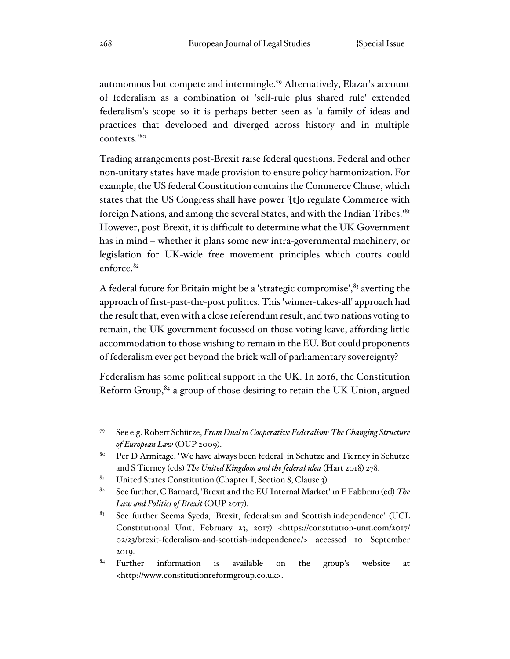autonomous but compete and intermingle.<sup>79</sup> Alternatively, Elazar's account of federalism as a combination of 'self-rule plus shared rule' extended federalism's scope so it is perhaps better seen as 'a family of ideas and practices that developed and diverged across history and in multiple contexts.'<sup>80</sup>

Trading arrangements post-Brexit raise federal questions. Federal and other non-unitary states have made provision to ensure policy harmonization. For example, the US federal Constitution contains the Commerce Clause, which states that the US Congress shall have power '[t]o regulate Commerce with foreign Nations, and among the several States, and with the Indian Tribes.'<sup>81</sup> However, post-Brexit, it is difficult to determine what the UK Government has in mind – whether it plans some new intra-governmental machinery, or legislation for UK-wide free movement principles which courts could enforce.<sup>82</sup>

A federal future for Britain might be a 'strategic compromise',  $83$  averting the approach of first-past-the-post politics. This 'winner-takes-all' approach had the result that, even with a close referendum result, and two nations voting to remain, the UK government focussed on those voting leave, affording little accommodation to those wishing to remain in the EU. But could proponents of federalism ever get beyond the brick wall of parliamentary sovereignty?

Federalism has some political support in the UK. In 2016, the Constitution Reform Group,<sup>84</sup> a group of those desiring to retain the UK Union, argued

<sup>79</sup> See e.g. Robert Schütze, *From Dual to Cooperative Federalism: The Changing Structure of European Law* (OUP 2009).

<sup>&</sup>lt;sup>80</sup> Per D Armitage, 'We have always been federal' in Schutze and Tierney in Schutze and S Tierney (eds) *The United Kingdom and the federal idea* (Hart 2018) 278.

 $81$  United States Constitution (Chapter I, Section 8, Clause 3).

<sup>82</sup> See further, C Barnard, 'Brexit and the EU Internal Market' in F Fabbrini (ed) *The Law and Politics of Brexit* (OUP 2017).

<sup>&</sup>lt;sup>83</sup> See further Seema Syeda, 'Brexit, federalism and Scottish independence' (UCL Constitutional Unit, February 23, 2017) <https://constitution-unit.com/2017/ 02/23/brexit-federalism-and-scottish-independence/> accessed 10 September 2019.

 $84$  Further information is available on the group's website at <http://www.constitutionreformgroup.co.uk>.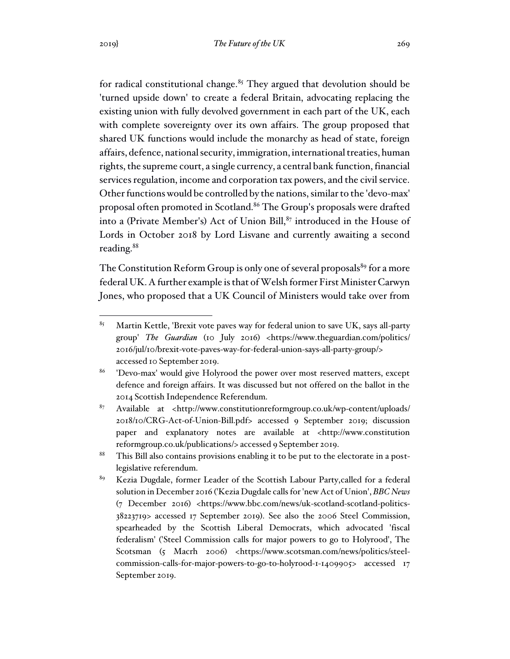for radical constitutional change. $85$  They argued that devolution should be 'turned upside down' to create a federal Britain, advocating replacing the existing union with fully devolved government in each part of the UK, each with complete sovereignty over its own affairs. The group proposed that shared UK functions would include the monarchy as head of state, foreign affairs, defence, national security, immigration, international treaties, human rights, the supreme court, a single currency, a central bank function, financial services regulation, income and corporation tax powers, and the civil service. Other functions would be controlled by the nations, similar to the 'devo-max' proposal often promoted in Scotland.<sup>86</sup> The Group's proposals were drafted into a (Private Member's) Act of Union Bill,<sup>87</sup> introduced in the House of Lords in October 2018 by Lord Lisvane and currently awaiting a second reading.<sup>88</sup>

The Constitution Reform Group is only one of several proposals<sup>89</sup> for a more federal UK. A further example is that of Welsh former First Minister Carwyn Jones, who proposed that a UK Council of Ministers would take over from

- <sup>88</sup> This Bill also contains provisions enabling it to be put to the electorate in a postlegislative referendum.
- <sup>89</sup> Kezia Dugdale, former Leader of the Scottish Labour Party, called for a federal solution in December 2016 ('Kezia Dugdale calls for 'new Act of Union', *BBC News* (7 December 2016) <https://www.bbc.com/news/uk-scotland-scotland-politics-38223719> accessed 17 September 2019). See also the 2006 Steel Commission, spearheaded by the Scottish Liberal Democrats, which advocated 'fiscal federalism' ('Steel Commission calls for major powers to go to Holyrood', The Scotsman (5 Macrh 2006) <https://www.scotsman.com/news/politics/steelcommission-calls-for-major-powers-to-go-to-holyrood-1-1409905> accessed 17 September 2019.

 $85$  Martin Kettle, 'Brexit vote paves way for federal union to save UK, says all-party group' *The Guardian* (10 July 2016) <https://www.theguardian.com/politics/ 2016/jul/10/brexit-vote-paves-way-for-federal-union-says-all-party-group/> accessed 10 September 2019.

<sup>86</sup> 'Devo-max' would give Holyrood the power over most reserved matters, except defence and foreign affairs. It was discussed but not offered on the ballot in the 2014 Scottish Independence Referendum.

 $87$  Available at <http://www.constitutionreformgroup.co.uk/wp-content/uploads/ 2018/10/CRG-Act-of-Union-Bill.pdf> accessed 9 September 2019; discussion paper and explanatory notes are available at <http://www.constitution reformgroup.co.uk/publications/> accessed 9 September 2019.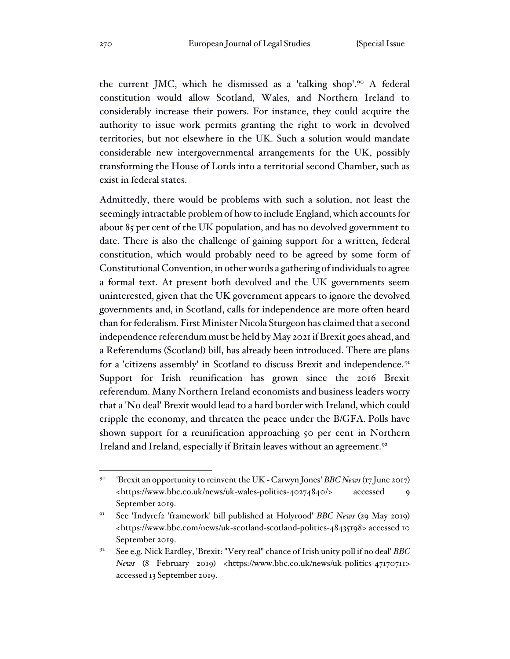the current JMC, which he dismissed as a 'talking shop'.<sup>90</sup> A federal constitution would allow Scotland, Wales, and Northern Ireland to considerably increase their powers. For instance, they could acquire the authority to issue work permits granting the right to work in devolved territories, but not elsewhere in the UK. Such a solution would mandate considerable new intergovernmental arrangements for the UK, possibly transforming the House of Lords into a territorial second Chamber, such as exist in federal states.

Admittedly, there would be problems with such a solution, not least the seemingly intractable problem of how to include England, which accounts for about 85 per cent of the UK population, and has no devolved government to date. There is also the challenge of gaining support for a written, federal constitution, which would probably need to be agreed by some form of Constitutional Convention, in other words a gathering of individuals to agree a formal text. At present both devolved and the UK governments seem uninterested, given that the UK government appears to ignore the devolved governments and, in Scotland, calls for independence are more often heard than for federalism. First Minister Nicola Sturgeon has claimed that a second independence referendum must be held by May 2021 if Brexit goes ahead, and a Referendums (Scotland) bill, has already been introduced. There are plans for a 'citizens assembly' in Scotland to discuss Brexit and independence.<sup>91</sup> Support for Irish reunification has grown since the 2016 Brexit referendum. Many Northern Ireland economists and business leaders worry that a 'No deal' Brexit would lead to a hard border with Ireland, which could cripple the economy, and threaten the peace under the B/GFA. Polls have shown support for a reunification approaching 50 per cent in Northern Ireland and Ireland, especially if Britain leaves without an agreement.<sup>92</sup>

<sup>90</sup> 'Brexit an opportunity to reinvent the UK - Carwyn Jones' *BBC News* (17 June 2017) <https://www.bbc.co.uk/news/uk-wales-politics-40274840/> accessed 9 September 2019.

<sup>91</sup> See 'Indyref2 'framework' bill published at Holyrood' *BBC News* (29 May 2019) <https://www.bbc.com/news/uk-scotland-scotland-politics-48435198> accessed 10 September 2019.

<sup>92</sup> See e.g. Nick Eardley, 'Brexit: "Very real" chance of Irish unity poll if no deal' *BBC News* (8 February 2019) <https://www.bbc.co.uk/news/uk-politics-47170711> accessed 13 September 2019.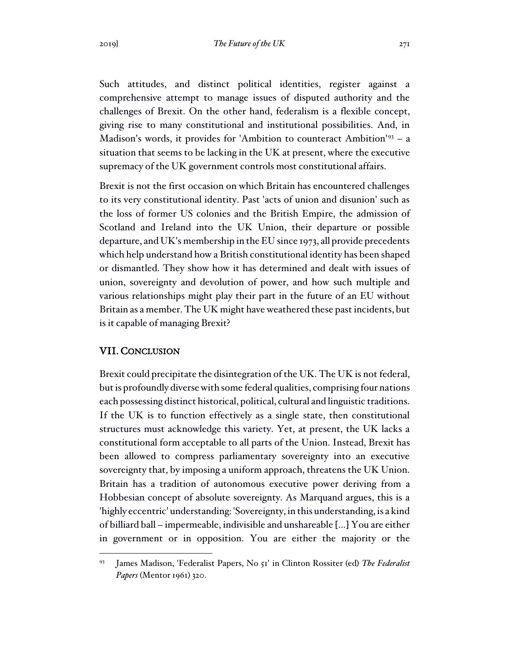Such attitudes, and distinct political identities, register against a comprehensive attempt to manage issues of disputed authority and the challenges of Brexit. On the other hand, federalism is a flexible concept, giving rise to many constitutional and institutional possibilities. And, in Madison's words, it provides for 'Ambition to counteract Ambition'<sup>93</sup> – a situation that seems to be lacking in the UK at present, where the executive supremacy of the UK government controls most constitutional affairs.

Brexit is not the first occasion on which Britain has encountered challenges to its very constitutional identity. Past 'acts of union and disunion' such as the loss of former US colonies and the British Empire, the admission of Scotland and Ireland into the UK Union, their departure or possible departure, and UK's membership in the EU since 1973, all provide precedents which help understand how a British constitutional identity has been shaped or dismantled. They show how it has determined and dealt with issues of union, sovereignty and devolution of power, and how such multiple and various relationships might play their part in the future of an EU without Britain as a member. The UK might have weathered these past incidents, but is it capable of managing Brexit?

#### VII. CONCLUSION

Brexit could precipitate the disintegration of the UK. The UK is not federal, but is profoundly diverse with some federal qualities, comprising four nations each possessing distinct historical, political, cultural and linguistic traditions. If the UK is to function effectively as a single state, then constitutional structures must acknowledge this variety. Yet, at present, the UK lacks a constitutional form acceptable to all parts of the Union. Instead, Brexit has been allowed to compress parliamentary sovereignty into an executive sovereignty that, by imposing a uniform approach, threatens the UK Union. Britain has a tradition of autonomous executive power deriving from a Hobbesian concept of absolute sovereignty. As Marquand argues, this is a 'highly eccentric' understanding: 'Sovereignty, in this understanding, is a kind of billiard ball – impermeable, indivisible and unshareable […] You are either in government or in opposition. You are either the majority or the

<sup>93</sup> James Madison, 'Federalist Papers, No 51' in Clinton Rossiter (ed) *The Federalist Papers* (Mentor 1961) 320.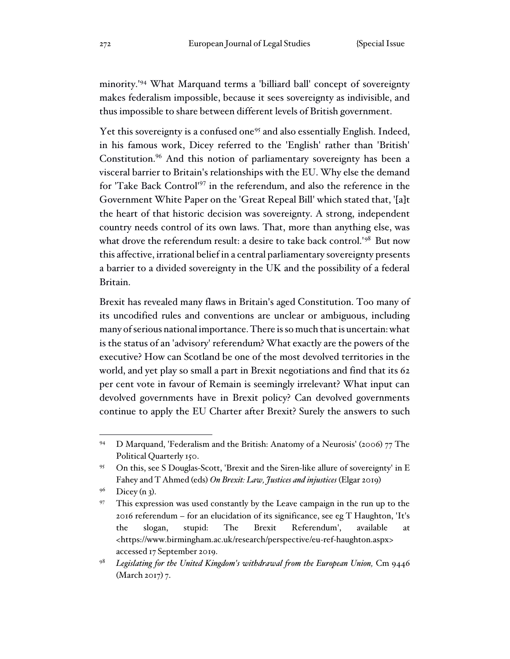minority.'<sup>94</sup> What Marquand terms a 'billiard ball' concept of sovereignty makes federalism impossible, because it sees sovereignty as indivisible, and thus impossible to share between different levels of British government.

Yet this sovereignty is a confused one<sup>95</sup> and also essentially English. Indeed, in his famous work, Dicey referred to the 'English' rather than 'British' Constitution.<sup>96</sup> And this notion of parliamentary sovereignty has been a visceral barrier to Britain's relationships with the EU. Why else the demand for 'Take Back Control'<sup>97</sup> in the referendum, and also the reference in the Government White Paper on the 'Great Repeal Bill' which stated that, '[a]t the heart of that historic decision was sovereignty. A strong, independent country needs control of its own laws. That, more than anything else, was what drove the referendum result: a desire to take back control.'<sup>98</sup> But now this affective, irrational belief in a central parliamentary sovereignty presents a barrier to a divided sovereignty in the UK and the possibility of a federal Britain.

Brexit has revealed many flaws in Britain's aged Constitution. Too many of its uncodified rules and conventions are unclear or ambiguous, including many of serious national importance. There is so much that is uncertain: what is the status of an 'advisory' referendum? What exactly are the powers of the executive? How can Scotland be one of the most devolved territories in the world, and yet play so small a part in Brexit negotiations and find that its 62 per cent vote in favour of Remain is seemingly irrelevant? What input can devolved governments have in Brexit policy? Can devolved governments continue to apply the EU Charter after Brexit? Surely the answers to such

<sup>94</sup> D Marquand, 'Federalism and the British: Anatomy of a Neurosis' (2006) 77 The Political Quarterly 150.

<sup>95</sup> On this, see S Douglas-Scott, 'Brexit and the Siren-like allure of sovereignty' in E Fahey and T Ahmed (eds) *On Brexit: Law, Justices and injustices* (Elgar 2019)

 $9^6$  Dicey (n 3).

<sup>&</sup>lt;sup>97</sup> This expression was used constantly by the Leave campaign in the run up to the 2016 referendum – for an elucidation of its significance, see eg T Haughton, 'It's the slogan, stupid: The Brexit Referendum', available at <https://www.birmingham.ac.uk/research/perspective/eu-ref-haughton.aspx> accessed 17 September 2019.

<sup>98</sup> *Legislating for the United Kingdom's withdrawal from the European Union,* Cm 9446 (March 2017) 7.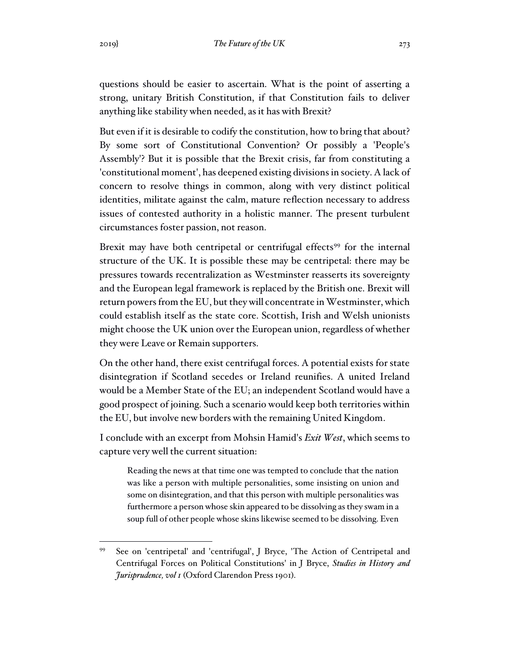questions should be easier to ascertain. What is the point of asserting a strong, unitary British Constitution, if that Constitution fails to deliver anything like stability when needed, as it has with Brexit?

But even if it is desirable to codify the constitution, how to bring that about? By some sort of Constitutional Convention? Or possibly a 'People's Assembly'? But it is possible that the Brexit crisis, far from constituting a 'constitutional moment', has deepened existing divisions in society. A lack of concern to resolve things in common, along with very distinct political identities, militate against the calm, mature reflection necessary to address issues of contested authority in a holistic manner. The present turbulent circumstances foster passion, not reason.

Brexit may have both centripetal or centrifugal effects<sup>99</sup> for the internal structure of the UK. It is possible these may be centripetal: there may be pressures towards recentralization as Westminster reasserts its sovereignty and the European legal framework is replaced by the British one. Brexit will return powers from the EU, but they will concentrate in Westminster, which could establish itself as the state core. Scottish, Irish and Welsh unionists might choose the UK union over the European union, regardless of whether they were Leave or Remain supporters.

On the other hand, there exist centrifugal forces. A potential exists for state disintegration if Scotland secedes or Ireland reunifies. A united Ireland would be a Member State of the EU; an independent Scotland would have a good prospect of joining. Such a scenario would keep both territories within the EU, but involve new borders with the remaining United Kingdom.

I conclude with an excerpt from Mohsin Hamid's *Exit West*, which seems to capture very well the current situation:

Reading the news at that time one was tempted to conclude that the nation was like a person with multiple personalities, some insisting on union and some on disintegration, and that this person with multiple personalities was furthermore a person whose skin appeared to be dissolving as they swam in a soup full of other people whose skins likewise seemed to be dissolving. Even

<sup>99</sup> See on 'centripetal' and 'centrifugal', J Bryce, 'The Action of Centripetal and Centrifugal Forces on Political Constitutions' in J Bryce, *Studies in History and Jurisprudence, vol 1* (Oxford Clarendon Press 1901).